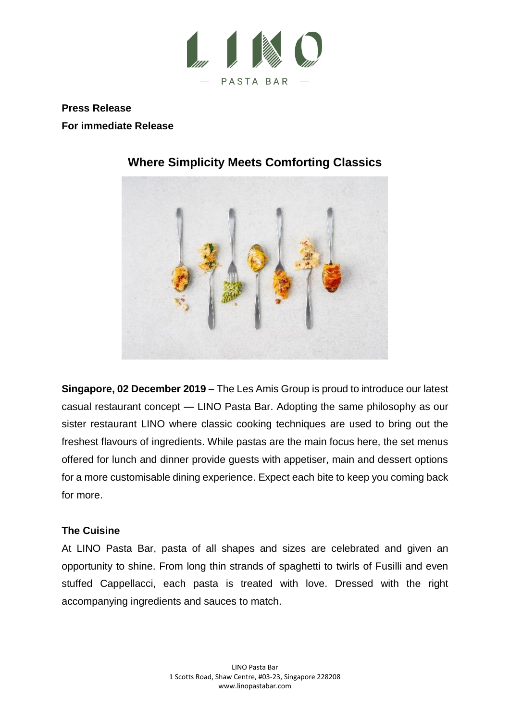

**Press Release For immediate Release**



# **Where Simplicity Meets Comforting Classics**

**Singapore, 02 December 2019** – The Les Amis Group is proud to introduce our latest casual restaurant concept — LINO Pasta Bar. Adopting the same philosophy as our sister restaurant LINO where classic cooking techniques are used to bring out the freshest flavours of ingredients. While pastas are the main focus here, the set menus offered for lunch and dinner provide guests with appetiser, main and dessert options for a more customisable dining experience. Expect each bite to keep you coming back for more.

## **The Cuisine**

At LINO Pasta Bar, pasta of all shapes and sizes are celebrated and given an opportunity to shine. From long thin strands of spaghetti to twirls of Fusilli and even stuffed Cappellacci, each pasta is treated with love. Dressed with the right accompanying ingredients and sauces to match.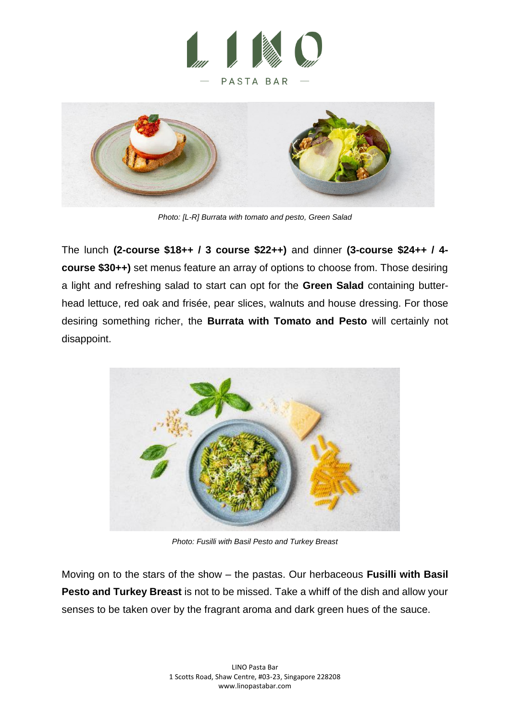



*Photo: [L-R] Burrata with tomato and pesto, Green Salad*

The lunch **(2-course \$18++ / 3 course \$22++)** and dinner **(3-course \$24++ / 4 course \$30++)** set menus feature an array of options to choose from. Those desiring a light and refreshing salad to start can opt for the **Green Salad** containing butterhead lettuce, red oak and frisée, pear slices, walnuts and house dressing. For those desiring something richer, the **Burrata with Tomato and Pesto** will certainly not disappoint.



*Photo: Fusilli with Basil Pesto and Turkey Breast*

Moving on to the stars of the show – the pastas. Our herbaceous **Fusilli with Basil Pesto and Turkey Breast** is not to be missed. Take a whiff of the dish and allow your senses to be taken over by the fragrant aroma and dark green hues of the sauce.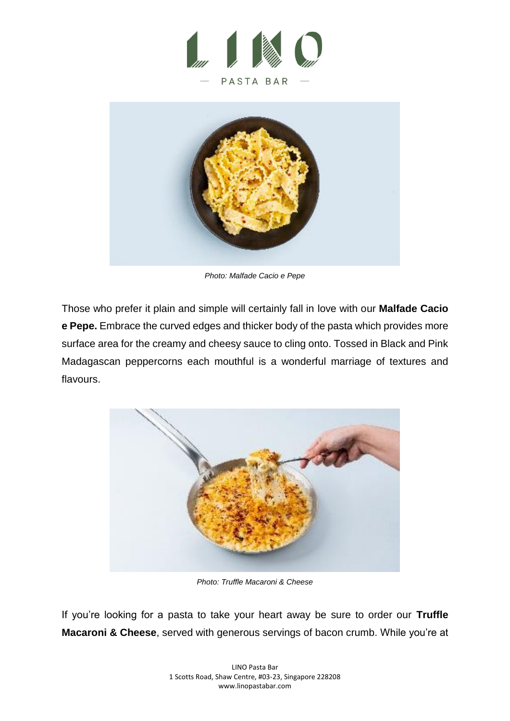



*Photo: Malfade Cacio e Pepe*

Those who prefer it plain and simple will certainly fall in love with our **Malfade Cacio e Pepe.** Embrace the curved edges and thicker body of the pasta which provides more surface area for the creamy and cheesy sauce to cling onto. Tossed in Black and Pink Madagascan peppercorns each mouthful is a wonderful marriage of textures and flavours.



*Photo: Truffle Macaroni & Cheese*

If you're looking for a pasta to take your heart away be sure to order our **Truffle Macaroni & Cheese**, served with generous servings of bacon crumb. While you're at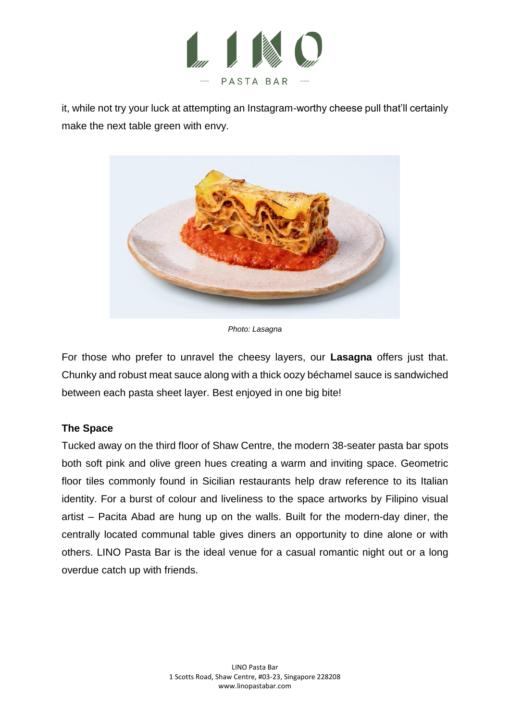

it, while not try your luck at attempting an Instagram-worthy cheese pull that'll certainly make the next table green with envy.



*Photo: Lasagna*

For those who prefer to unravel the cheesy layers, our **Lasagna** offers just that. Chunky and robust meat sauce along with a thick oozy béchamel sauce is sandwiched between each pasta sheet layer. Best enjoyed in one big bite!

## **The Space**

Tucked away on the third floor of Shaw Centre, the modern 38-seater pasta bar spots both soft pink and olive green hues creating a warm and inviting space. Geometric floor tiles commonly found in Sicilian restaurants help draw reference to its Italian identity. For a burst of colour and liveliness to the space artworks by Filipino visual artist – Pacita Abad are hung up on the walls. Built for the modern-day diner, the centrally located communal table gives diners an opportunity to dine alone or with others. LINO Pasta Bar is the ideal venue for a casual romantic night out or a long overdue catch up with friends.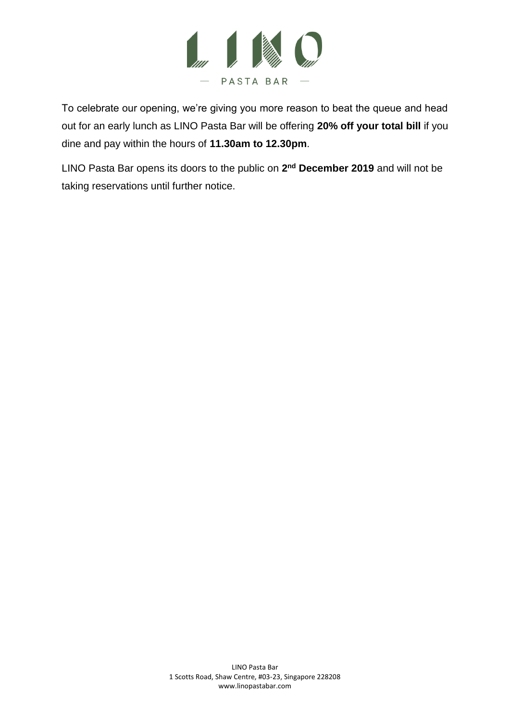

To celebrate our opening, we're giving you more reason to beat the queue and head out for an early lunch as LINO Pasta Bar will be offering **20% off your total bill** if you dine and pay within the hours of **11.30am to 12.30pm**.

LINO Pasta Bar opens its doors to the public on 2<sup>nd</sup> December 2019 and will not be taking reservations until further notice.